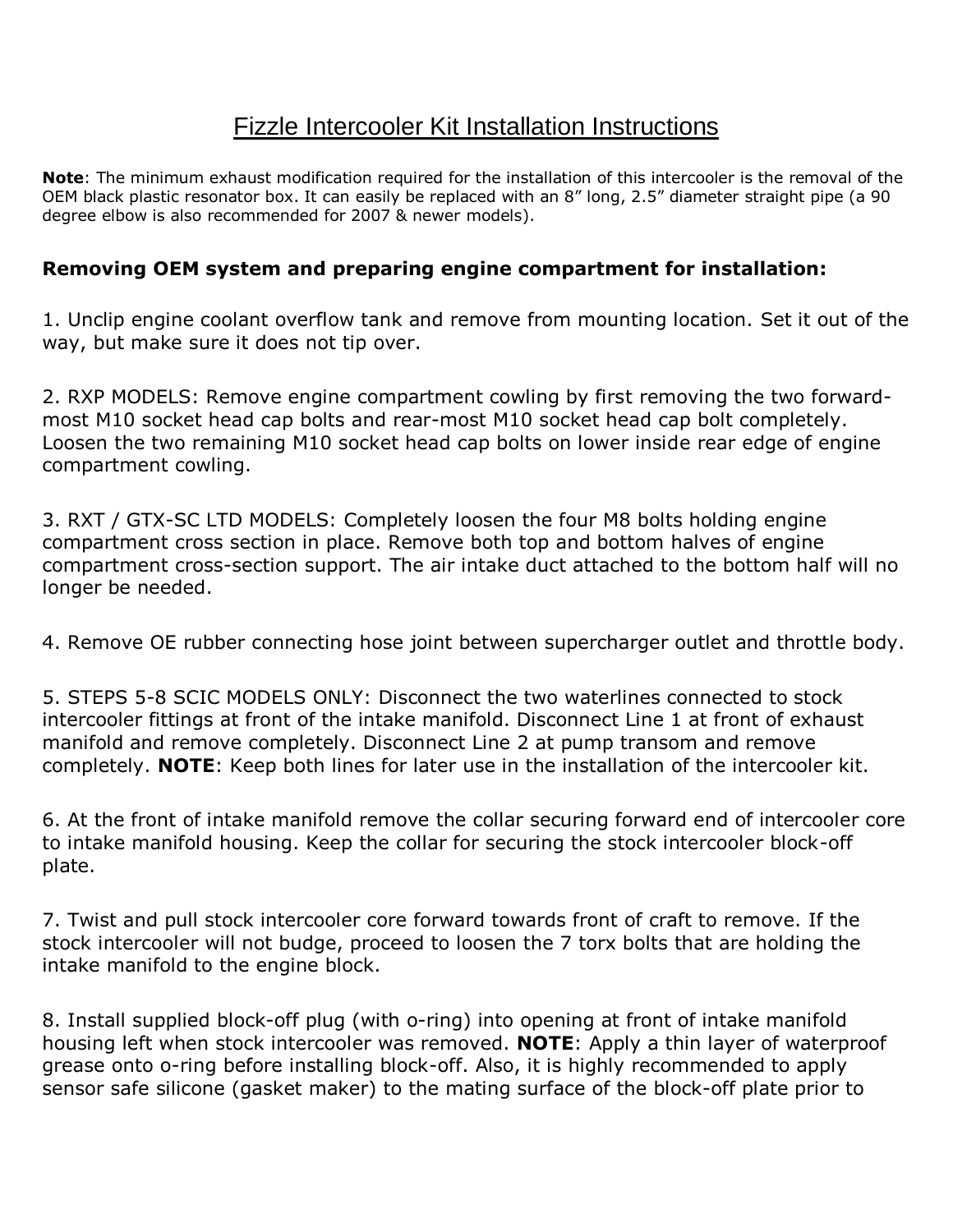# Fizzle Intercooler Kit Installation Instructions

**Note**: The minimum exhaust modification required for the installation of this intercooler is the removal of the OEM black plastic resonator box. It can easily be replaced with an 8" long, 2.5" diameter straight pipe (a 90 degree elbow is also recommended for 2007 & newer models).

# **Removing OEM system and preparing engine compartment for installation:**

1. Unclip engine coolant overflow tank and remove from mounting location. Set it out of the way, but make sure it does not tip over.

2. RXP MODELS: Remove engine compartment cowling by first removing the two forwardmost M10 socket head cap bolts and rear-most M10 socket head cap bolt completely. Loosen the two remaining M10 socket head cap bolts on lower inside rear edge of engine compartment cowling.

3. RXT / GTX-SC LTD MODELS: Completely loosen the four M8 bolts holding engine compartment cross section in place. Remove both top and bottom halves of engine compartment cross-section support. The air intake duct attached to the bottom half will no longer be needed.

4. Remove OE rubber connecting hose joint between supercharger outlet and throttle body.

5. STEPS 5-8 SCIC MODELS ONLY: Disconnect the two waterlines connected to stock intercooler fittings at front of the intake manifold. Disconnect Line 1 at front of exhaust manifold and remove completely. Disconnect Line 2 at pump transom and remove completely. **NOTE**: Keep both lines for later use in the installation of the intercooler kit.

6. At the front of intake manifold remove the collar securing forward end of intercooler core to intake manifold housing. Keep the collar for securing the stock intercooler block-off plate.

7. Twist and pull stock intercooler core forward towards front of craft to remove. If the stock intercooler will not budge, proceed to loosen the 7 torx bolts that are holding the intake manifold to the engine block.

8. Install supplied block-off plug (with o-ring) into opening at front of intake manifold housing left when stock intercooler was removed. **NOTE**: Apply a thin layer of waterproof grease onto o-ring before installing block-off. Also, it is highly recommended to apply sensor safe silicone (gasket maker) to the mating surface of the block-off plate prior to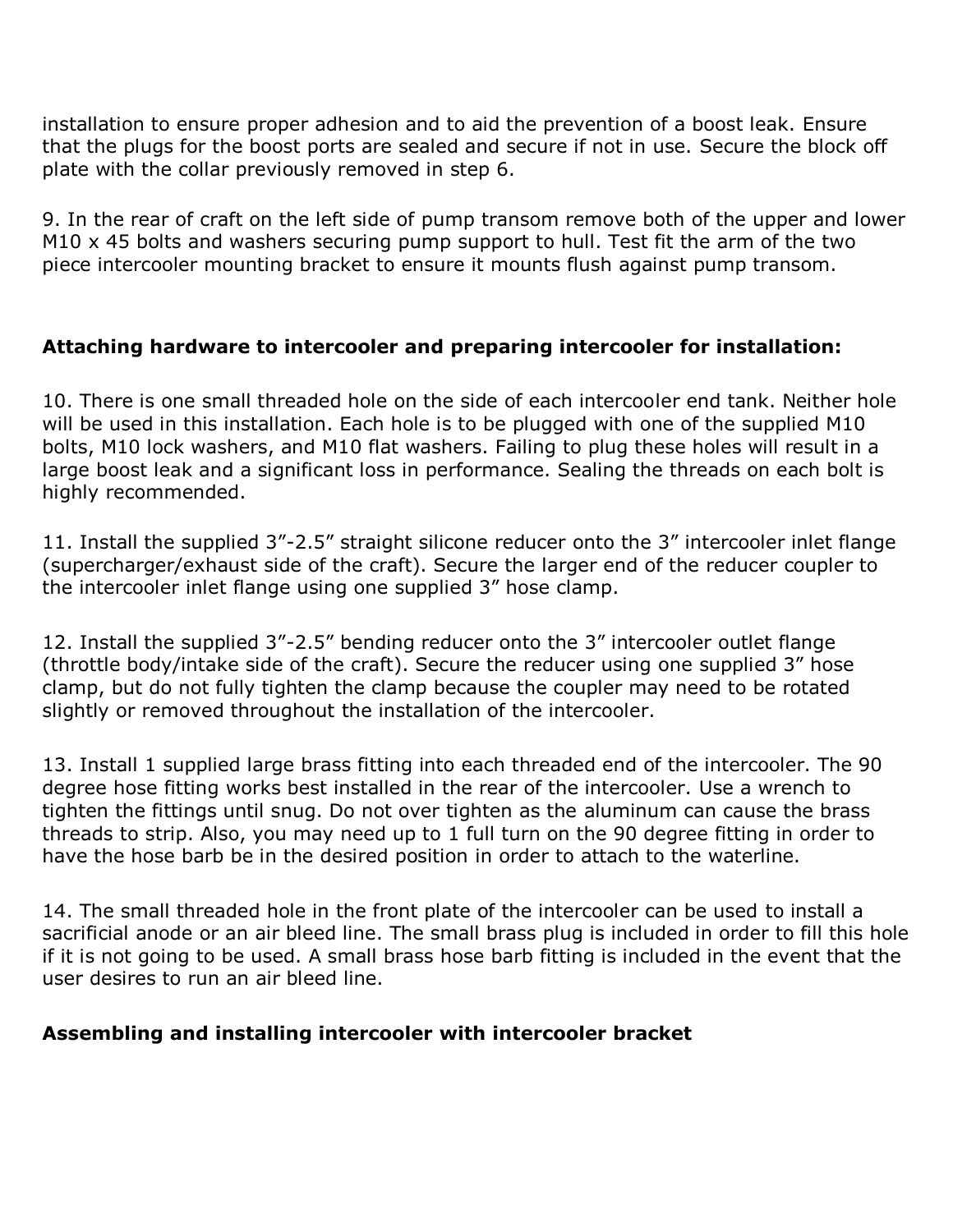installation to ensure proper adhesion and to aid the prevention of a boost leak. Ensure that the plugs for the boost ports are sealed and secure if not in use. Secure the block off plate with the collar previously removed in step 6.

9. In the rear of craft on the left side of pump transom remove both of the upper and lower  $M10 \times 45$  bolts and washers securing pump support to hull. Test fit the arm of the two piece intercooler mounting bracket to ensure it mounts flush against pump transom.

# **Attaching hardware to intercooler and preparing intercooler for installation:**

10. There is one small threaded hole on the side of each intercooler end tank. Neither hole will be used in this installation. Each hole is to be plugged with one of the supplied M10 bolts, M10 lock washers, and M10 flat washers. Failing to plug these holes will result in a large boost leak and a significant loss in performance. Sealing the threads on each bolt is highly recommended.

11. Install the supplied 3"-2.5" straight silicone reducer onto the 3" intercooler inlet flange (supercharger/exhaust side of the craft). Secure the larger end of the reducer coupler to the intercooler inlet flange using one supplied 3" hose clamp.

12. Install the supplied 3"-2.5" bending reducer onto the 3" intercooler outlet flange (throttle body/intake side of the craft). Secure the reducer using one supplied 3" hose clamp, but do not fully tighten the clamp because the coupler may need to be rotated slightly or removed throughout the installation of the intercooler.

13. Install 1 supplied large brass fitting into each threaded end of the intercooler. The 90 degree hose fitting works best installed in the rear of the intercooler. Use a wrench to tighten the fittings until snug. Do not over tighten as the aluminum can cause the brass threads to strip. Also, you may need up to 1 full turn on the 90 degree fitting in order to have the hose barb be in the desired position in order to attach to the waterline.

14. The small threaded hole in the front plate of the intercooler can be used to install a sacrificial anode or an air bleed line. The small brass plug is included in order to fill this hole if it is not going to be used. A small brass hose barb fitting is included in the event that the user desires to run an air bleed line.

#### **Assembling and installing intercooler with intercooler bracket**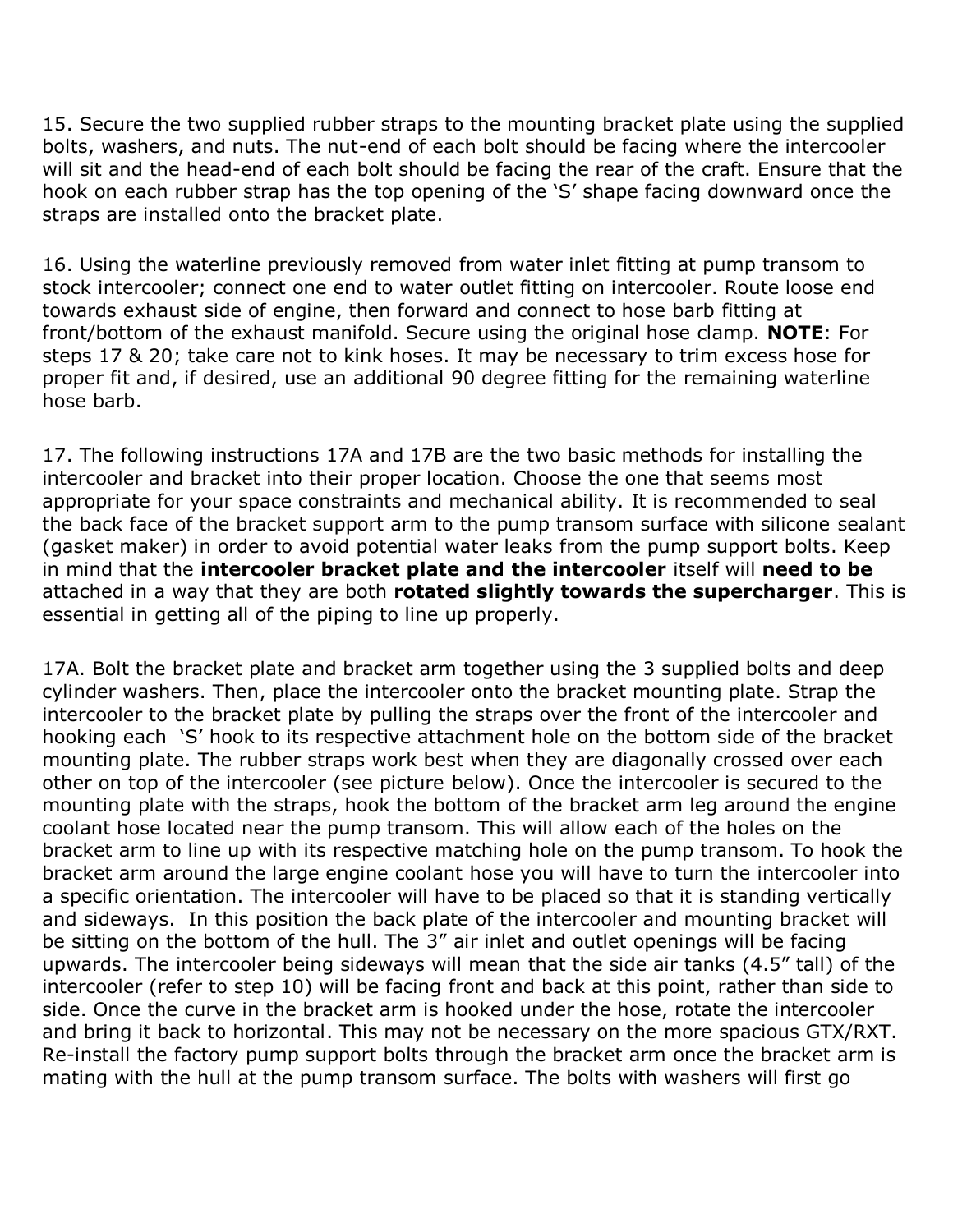15. Secure the two supplied rubber straps to the mounting bracket plate using the supplied bolts, washers, and nuts. The nut-end of each bolt should be facing where the intercooler will sit and the head-end of each bolt should be facing the rear of the craft. Ensure that the hook on each rubber strap has the top opening of the 'S' shape facing downward once the straps are installed onto the bracket plate.

16. Using the waterline previously removed from water inlet fitting at pump transom to stock intercooler; connect one end to water outlet fitting on intercooler. Route loose end towards exhaust side of engine, then forward and connect to hose barb fitting at front/bottom of the exhaust manifold. Secure using the original hose clamp. **NOTE**: For steps 17 & 20; take care not to kink hoses. It may be necessary to trim excess hose for proper fit and, if desired, use an additional 90 degree fitting for the remaining waterline hose barb.

17. The following instructions 17A and 17B are the two basic methods for installing the intercooler and bracket into their proper location. Choose the one that seems most appropriate for your space constraints and mechanical ability. It is recommended to seal the back face of the bracket support arm to the pump transom surface with silicone sealant (gasket maker) in order to avoid potential water leaks from the pump support bolts. Keep in mind that the **intercooler bracket plate and the intercooler** itself will **need to be** attached in a way that they are both **rotated slightly towards the supercharger**. This is essential in getting all of the piping to line up properly.

17A. Bolt the bracket plate and bracket arm together using the 3 supplied bolts and deep cylinder washers. Then, place the intercooler onto the bracket mounting plate. Strap the intercooler to the bracket plate by pulling the straps over the front of the intercooler and hooking each 'S' hook to its respective attachment hole on the bottom side of the bracket mounting plate. The rubber straps work best when they are diagonally crossed over each other on top of the intercooler (see picture below). Once the intercooler is secured to the mounting plate with the straps, hook the bottom of the bracket arm leg around the engine coolant hose located near the pump transom. This will allow each of the holes on the bracket arm to line up with its respective matching hole on the pump transom. To hook the bracket arm around the large engine coolant hose you will have to turn the intercooler into a specific orientation. The intercooler will have to be placed so that it is standing vertically and sideways. In this position the back plate of the intercooler and mounting bracket will be sitting on the bottom of the hull. The 3" air inlet and outlet openings will be facing upwards. The intercooler being sideways will mean that the side air tanks (4.5" tall) of the intercooler (refer to step 10) will be facing front and back at this point, rather than side to side. Once the curve in the bracket arm is hooked under the hose, rotate the intercooler and bring it back to horizontal. This may not be necessary on the more spacious GTX/RXT. Re-install the factory pump support bolts through the bracket arm once the bracket arm is mating with the hull at the pump transom surface. The bolts with washers will first go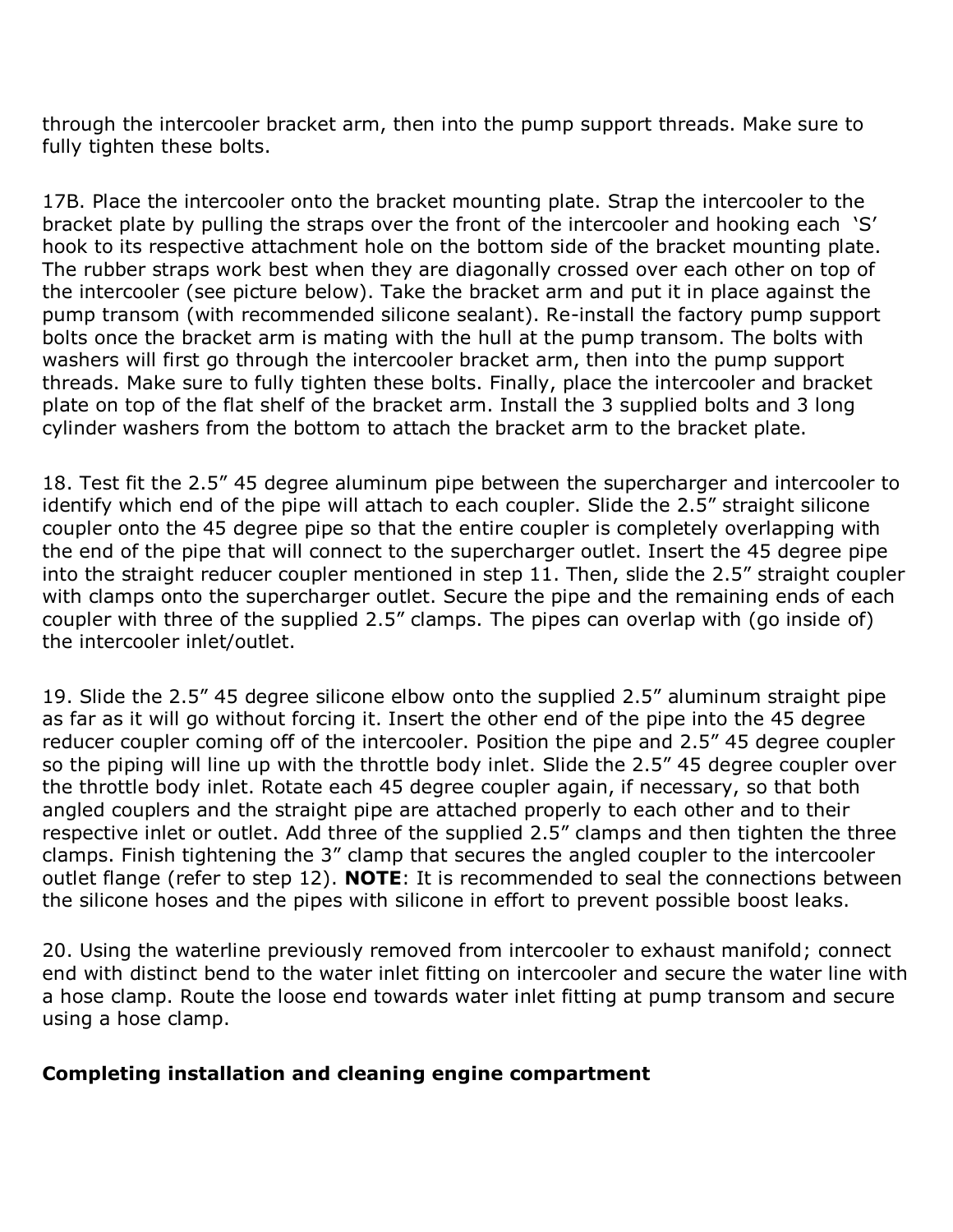through the intercooler bracket arm, then into the pump support threads. Make sure to fully tighten these bolts.

17B. Place the intercooler onto the bracket mounting plate. Strap the intercooler to the bracket plate by pulling the straps over the front of the intercooler and hooking each 'S' hook to its respective attachment hole on the bottom side of the bracket mounting plate. The rubber straps work best when they are diagonally crossed over each other on top of the intercooler (see picture below). Take the bracket arm and put it in place against the pump transom (with recommended silicone sealant). Re-install the factory pump support bolts once the bracket arm is mating with the hull at the pump transom. The bolts with washers will first go through the intercooler bracket arm, then into the pump support threads. Make sure to fully tighten these bolts. Finally, place the intercooler and bracket plate on top of the flat shelf of the bracket arm. Install the 3 supplied bolts and 3 long cylinder washers from the bottom to attach the bracket arm to the bracket plate.

18. Test fit the 2.5" 45 degree aluminum pipe between the supercharger and intercooler to identify which end of the pipe will attach to each coupler. Slide the 2.5" straight silicone coupler onto the 45 degree pipe so that the entire coupler is completely overlapping with the end of the pipe that will connect to the supercharger outlet. Insert the 45 degree pipe into the straight reducer coupler mentioned in step 11. Then, slide the 2.5" straight coupler with clamps onto the supercharger outlet. Secure the pipe and the remaining ends of each coupler with three of the supplied 2.5" clamps. The pipes can overlap with (go inside of) the intercooler inlet/outlet.

19. Slide the 2.5" 45 degree silicone elbow onto the supplied 2.5" aluminum straight pipe as far as it will go without forcing it. Insert the other end of the pipe into the 45 degree reducer coupler coming off of the intercooler. Position the pipe and 2.5" 45 degree coupler so the piping will line up with the throttle body inlet. Slide the 2.5" 45 degree coupler over the throttle body inlet. Rotate each 45 degree coupler again, if necessary, so that both angled couplers and the straight pipe are attached properly to each other and to their respective inlet or outlet. Add three of the supplied 2.5" clamps and then tighten the three clamps. Finish tightening the 3" clamp that secures the angled coupler to the intercooler outlet flange (refer to step 12). **NOTE**: It is recommended to seal the connections between the silicone hoses and the pipes with silicone in effort to prevent possible boost leaks.

20. Using the waterline previously removed from intercooler to exhaust manifold; connect end with distinct bend to the water inlet fitting on intercooler and secure the water line with a hose clamp. Route the loose end towards water inlet fitting at pump transom and secure using a hose clamp.

### **Completing installation and cleaning engine compartment**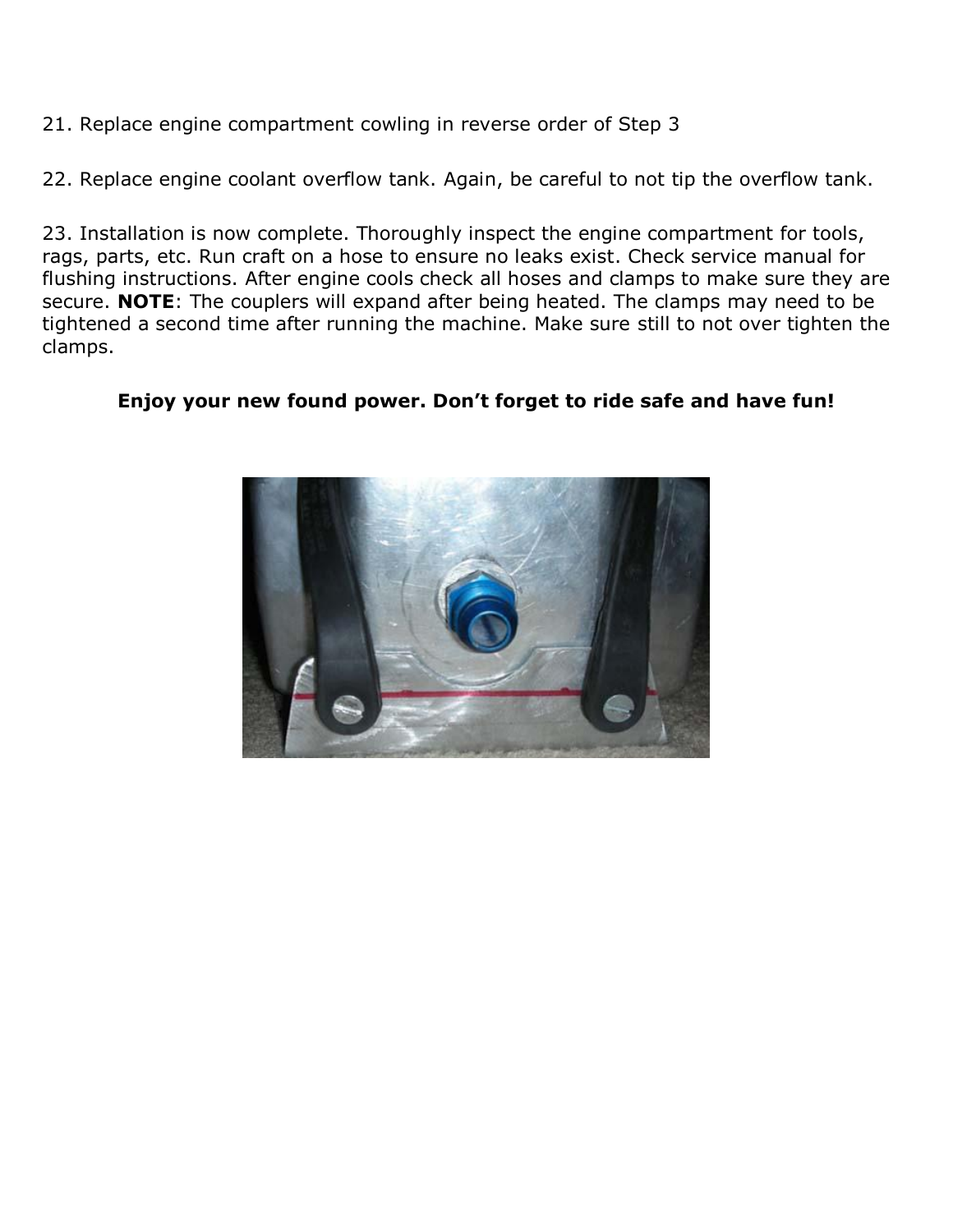21. Replace engine compartment cowling in reverse order of Step 3

22. Replace engine coolant overflow tank. Again, be careful to not tip the overflow tank.

23. Installation is now complete. Thoroughly inspect the engine compartment for tools, rags, parts, etc. Run craft on a hose to ensure no leaks exist. Check service manual for flushing instructions. After engine cools check all hoses and clamps to make sure they are secure. **NOTE**: The couplers will expand after being heated. The clamps may need to be tightened a second time after running the machine. Make sure still to not over tighten the clamps.

## **Enjoy your new found power. Don't forget to ride safe and have fun!**

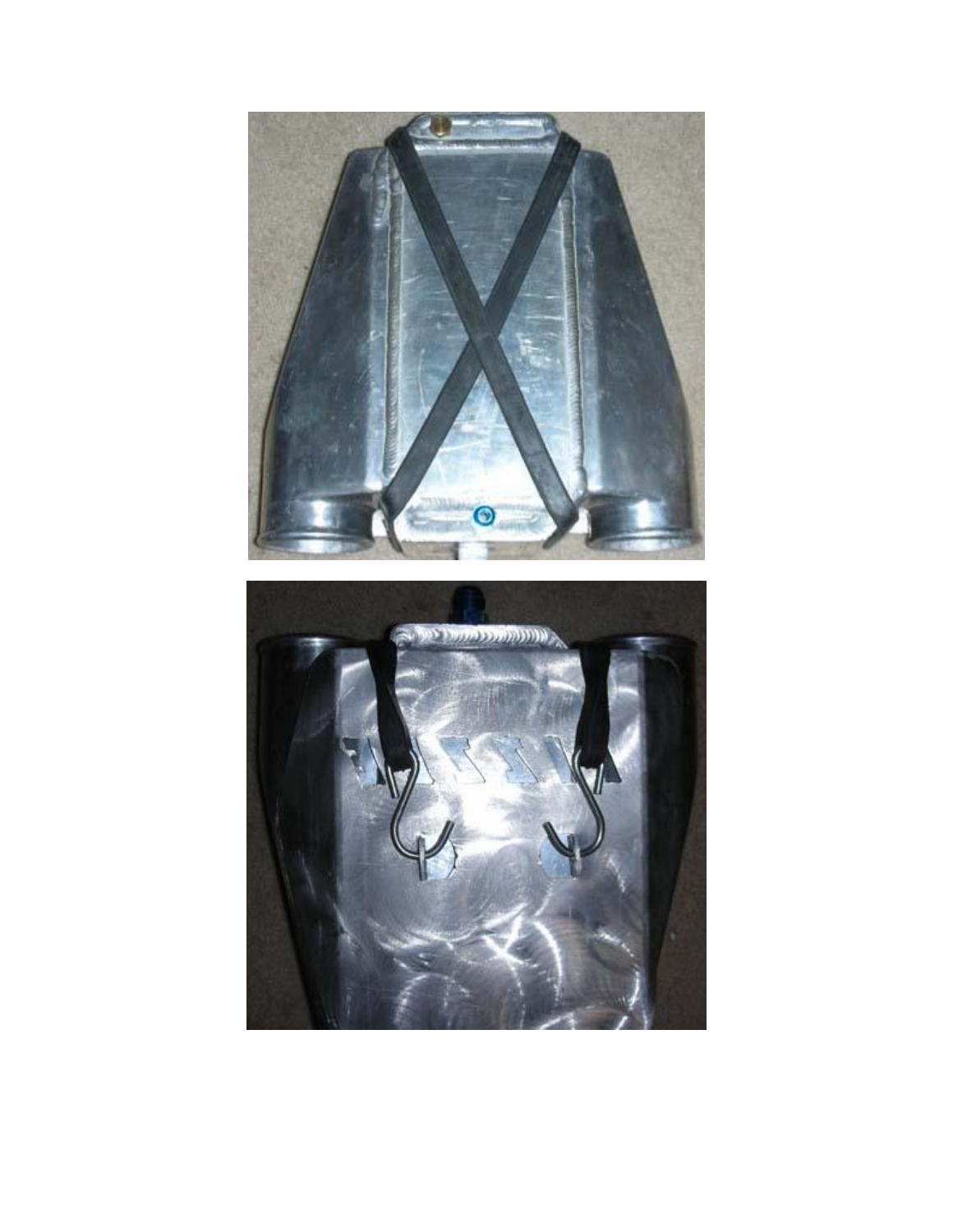